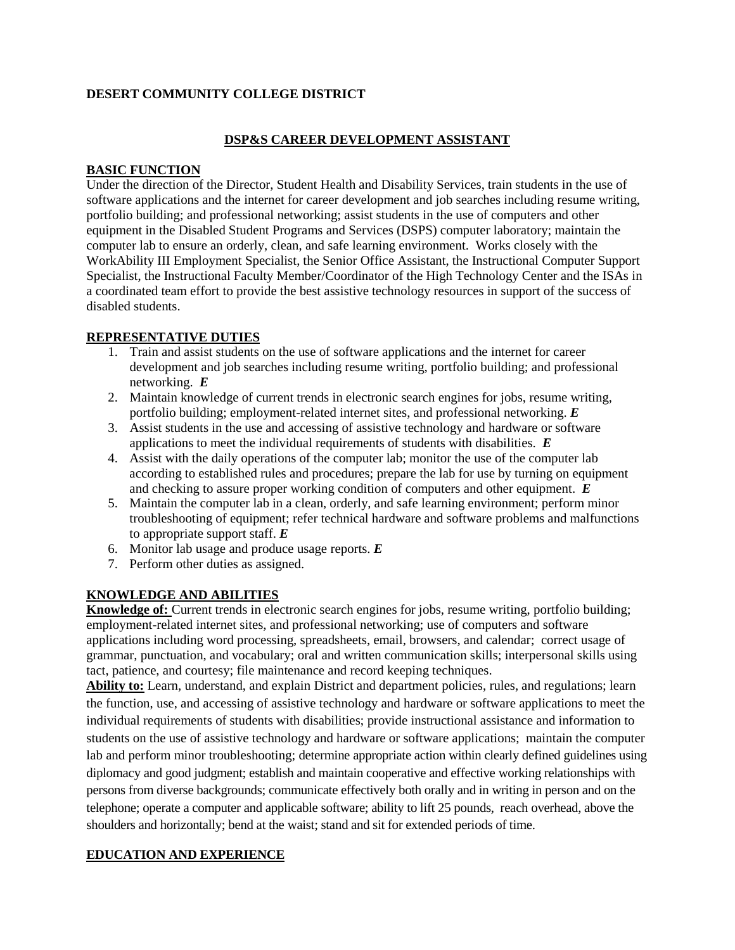### **DESERT COMMUNITY COLLEGE DISTRICT**

#### **DSP&S CAREER DEVELOPMENT ASSISTANT**

#### **BASIC FUNCTION**

Under the direction of the Director, Student Health and Disability Services, train students in the use of software applications and the internet for career development and job searches including resume writing, portfolio building; and professional networking; assist students in the use of computers and other equipment in the Disabled Student Programs and Services (DSPS) computer laboratory; maintain the computer lab to ensure an orderly, clean, and safe learning environment. Works closely with the WorkAbility III Employment Specialist, the Senior Office Assistant, the Instructional Computer Support Specialist, the Instructional Faculty Member/Coordinator of the High Technology Center and the ISAs in a coordinated team effort to provide the best assistive technology resources in support of the success of disabled students.

### **REPRESENTATIVE DUTIES**

- 1. Train and assist students on the use of software applications and the internet for career development and job searches including resume writing, portfolio building; and professional networking. *E*
- 2. Maintain knowledge of current trends in electronic search engines for jobs, resume writing, portfolio building; employment-related internet sites, and professional networking. *E*
- 3. Assist students in the use and accessing of assistive technology and hardware or software applications to meet the individual requirements of students with disabilities. *E*
- 4. Assist with the daily operations of the computer lab; monitor the use of the computer lab according to established rules and procedures; prepare the lab for use by turning on equipment and checking to assure proper working condition of computers and other equipment. *E*
- 5. Maintain the computer lab in a clean, orderly, and safe learning environment; perform minor troubleshooting of equipment; refer technical hardware and software problems and malfunctions to appropriate support staff. *E*
- 6. Monitor lab usage and produce usage reports. *E*
- 7. Perform other duties as assigned.

# **KNOWLEDGE AND ABILITIES**

**Knowledge of:** Current trends in electronic search engines for jobs, resume writing, portfolio building; employment-related internet sites, and professional networking; use of computers and software applications including word processing, spreadsheets, email, browsers, and calendar; correct usage of grammar, punctuation, and vocabulary; oral and written communication skills; interpersonal skills using tact, patience, and courtesy; file maintenance and record keeping techniques.

**Ability to:** Learn, understand, and explain District and department policies, rules, and regulations; learn the function, use, and accessing of assistive technology and hardware or software applications to meet the individual requirements of students with disabilities; provide instructional assistance and information to students on the use of assistive technology and hardware or software applications; maintain the computer lab and perform minor troubleshooting; determine appropriate action within clearly defined guidelines using diplomacy and good judgment; establish and maintain cooperative and effective working relationships with persons from diverse backgrounds; communicate effectively both orally and in writing in person and on the telephone; operate a computer and applicable software; ability to lift 25 pounds, reach overhead, above the shoulders and horizontally; bend at the waist; stand and sit for extended periods of time.

# **EDUCATION AND EXPERIENCE**